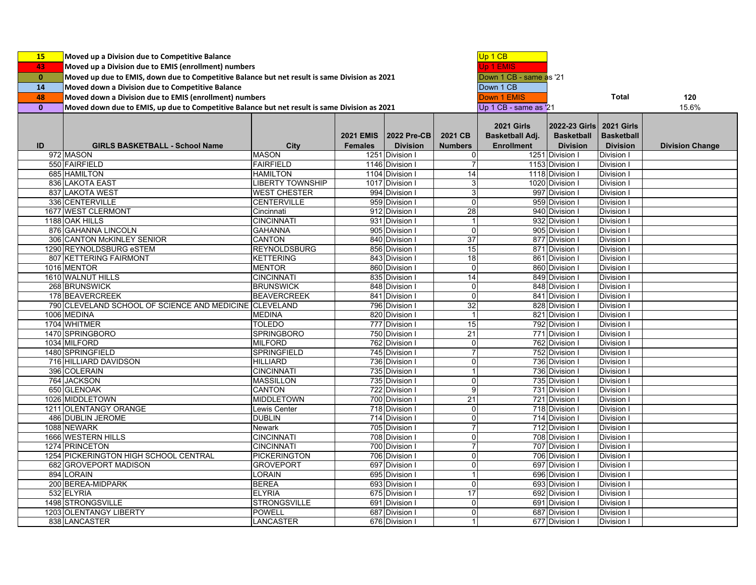| 15           | Moved up a Division due to Competitive Balance                                                |                         |                                    |                                |                                  | Up 1 CB                                                   |                                                       |                                                           |                        |
|--------------|-----------------------------------------------------------------------------------------------|-------------------------|------------------------------------|--------------------------------|----------------------------------|-----------------------------------------------------------|-------------------------------------------------------|-----------------------------------------------------------|------------------------|
| 43           | Moved up a Division due to EMIS (enrollment) numbers                                          | Jp 1 EMIS               |                                    |                                |                                  |                                                           |                                                       |                                                           |                        |
| $\mathbf{0}$ | Moved up due to EMIS, down due to Competitive Balance but net result is same Division as 2021 | Down 1 CB - same as '21 |                                    |                                |                                  |                                                           |                                                       |                                                           |                        |
| 14           | Moved down a Division due to Competitive Balance                                              |                         |                                    |                                |                                  |                                                           |                                                       |                                                           |                        |
|              |                                                                                               |                         |                                    |                                |                                  | Down 1 CB                                                 |                                                       | <b>Total</b>                                              |                        |
| 48           | Moved down a Division due to EMIS (enrollment) numbers                                        |                         |                                    |                                |                                  | Down 1 EMIS                                               |                                                       |                                                           | 120                    |
| $\mathbf{0}$ | Moved down due to EMIS, up due to Competitive Balance but net result is same Division as 2021 |                         |                                    | Up 1 CB - same as '21          |                                  |                                                           | 15.6%                                                 |                                                           |                        |
| ID           | <b>GIRLS BASKETBALL - School Name</b>                                                         | <b>City</b>             | <b>2021 EMIS</b><br><b>Females</b> | 2022 Pre-CB<br><b>Division</b> | 2021 CB<br><b>Numbers</b>        | <b>2021 Girls</b><br>Basketball Adj.<br><b>Enrollment</b> | 2022-23 Girls<br><b>Basketball</b><br><b>Division</b> | <b>2021 Girls</b><br><b>Basketball</b><br><b>Division</b> | <b>Division Change</b> |
|              | 972 MASON                                                                                     | <b>MASON</b>            |                                    | 1251 Division I                | 0                                |                                                           | 1251 Division I                                       | Division I                                                |                        |
|              | 550 FAIRFIELD                                                                                 | <b>FAIRFIELD</b>        |                                    | 1146 Division I                | $\overline{7}$                   |                                                           | 1153 Division I                                       | Division I                                                |                        |
|              | 685 HAMILTON                                                                                  | <b>HAMILTON</b>         |                                    | 1104 Division I                | 14                               |                                                           | 1118 Division I                                       | Division I                                                |                        |
|              | 836 LAKOTA EAST                                                                               | <b>LIBERTY TOWNSHIP</b> |                                    | 1017 Division I                | 3                                |                                                           | 1020 Division I                                       | Division I                                                |                        |
|              | 837 LAKOTA WEST                                                                               | <b>WEST CHESTER</b>     |                                    | 994 Division I                 | 3                                |                                                           | 997 Division I                                        | <b>Division I</b>                                         |                        |
|              | 336 CENTERVILLE                                                                               | <b>CENTERVILLE</b>      |                                    | 959 Division I                 | $\overline{0}$                   |                                                           | 959 Division I                                        | Division I                                                |                        |
|              | 1677 WEST CLERMONT                                                                            | Cincinnati              |                                    | 912 Division I                 | 28                               |                                                           | 940 Division I                                        | Division I                                                |                        |
|              | 1188 OAK HILLS                                                                                | <b>CINCINNATI</b>       |                                    | 931 Division I                 | $\mathbf{1}$                     |                                                           | 932 Division I                                        | <b>Division</b>                                           |                        |
|              | 876 GAHANNA LINCOLN                                                                           | <b>GAHANNA</b>          |                                    | 905 Division I                 | $\mathbf 0$                      |                                                           | 905 Division I                                        | <b>Division I</b>                                         |                        |
|              | 306 CANTON McKINLEY SENIOR                                                                    | <b>CANTON</b>           |                                    | 840 Division I                 | 37                               |                                                           | 877 Division I                                        | Division I                                                |                        |
|              | 1290 REYNOLDSBURG eSTEM                                                                       | REYNOLDSBURG            |                                    | 856 Division I                 | 15                               |                                                           | 871 Division I                                        | Division I                                                |                        |
|              | 807 KETTERING FAIRMONT                                                                        | <b>KETTERING</b>        |                                    | 843 Division I                 | 18                               |                                                           | 861 Division I                                        | Division I                                                |                        |
|              | 1016 MENTOR                                                                                   | <b>MENTOR</b>           |                                    | 860 Division I                 | 0                                |                                                           | 860 Division I                                        | Division I                                                |                        |
|              | 1610 WALNUT HILLS                                                                             | <b>CINCINNATI</b>       |                                    | 835 Division I                 | 14                               |                                                           | 849 Division I                                        | Division I                                                |                        |
|              | 268 BRUNSWICK                                                                                 | <b>BRUNSWICK</b>        |                                    | 848 Division I                 | 0                                |                                                           | 848 Division I                                        | Division I                                                |                        |
|              | 178 BEAVERCREEK                                                                               | <b>BEAVERCREEK</b>      |                                    | 841 Division I                 | 0                                |                                                           | 841 Division I                                        | Division I                                                |                        |
|              | 790 CLEVELAND SCHOOL OF SCIENCE AND MEDICINE                                                  | <b>CLEVELAND</b>        |                                    | 796 Division I                 | 32                               |                                                           | 828 Division I                                        | Division I                                                |                        |
|              | 1006 MEDINA                                                                                   | <b>MEDINA</b>           |                                    | 820 Division I                 | $\mathbf{1}$                     |                                                           | 821 Division I                                        | Division I                                                |                        |
|              | 1704 WHITMER                                                                                  | TOLEDO                  |                                    | 777 Division I                 | 15                               |                                                           | 792 Division I                                        | <b>Division</b>                                           |                        |
|              | 1470 SPRINGBORO                                                                               | <b>SPRINGBORO</b>       |                                    | 750 Division I                 | 21                               |                                                           | 771 Division I                                        | Division I                                                |                        |
|              |                                                                                               | <b>MILFORD</b>          |                                    | 762 Division I                 |                                  |                                                           |                                                       |                                                           |                        |
|              | 1034 MILFORD                                                                                  |                         |                                    |                                | $\overline{0}$<br>$\overline{7}$ |                                                           | 762 Division I                                        | Division I                                                |                        |
|              | 1480 SPRINGFIELD                                                                              | <b>SPRINGFIELD</b>      |                                    | 745 Division I                 |                                  |                                                           | 752 Division I                                        | Division I                                                |                        |
|              | 716 HILLIARD DAVIDSON                                                                         | <b>HILLIARD</b>         |                                    | 736 Division I                 | $\overline{0}$                   |                                                           | 736 Division I                                        | Division I                                                |                        |
|              | 396 COLERAIN                                                                                  | <b>CINCINNATI</b>       |                                    | 735 Division I                 | $\mathbf{1}$                     |                                                           | 736 Division I                                        | Division I                                                |                        |
|              | 764 JACKSON                                                                                   | <b>MASSILLON</b>        |                                    | 735 Division I                 | $\mathsf 0$                      |                                                           | 735 Division I                                        | <b>Division I</b>                                         |                        |
|              | 650 GLENOAK                                                                                   | <b>CANTON</b>           |                                    | 722 Division I                 | 9                                |                                                           | 731 Division I                                        | Division I                                                |                        |
|              | 1026 MIDDLETOWN                                                                               | MIDDLETOWN              |                                    | 700 Division I                 | 21                               |                                                           | 721 Division I                                        | Division I                                                |                        |
|              | 1211 OLENTANGY ORANGE                                                                         | Lewis Center            |                                    | 718 Division I                 | 0                                |                                                           | 718 Division I                                        | Division I                                                |                        |
|              | 486 DUBLIN JEROME                                                                             | <b>DUBLIN</b>           |                                    | 714 Division I                 | 0                                |                                                           | 714 Division I                                        | Division I                                                |                        |
|              | 1088 NEWARK                                                                                   | <b>Newark</b>           |                                    | 705 Division I                 | $\overline{7}$                   |                                                           | 712 Division I                                        | Division I                                                |                        |
|              | 1666 WESTERN HILLS                                                                            | <b>CINCINNATI</b>       |                                    | 708 Division I                 | 0                                |                                                           | 708 Division I                                        | Division I                                                |                        |
|              | 1274 PRINCETON                                                                                | <b>CINCINNATI</b>       |                                    | 700 Division I                 | $\overline{7}$                   |                                                           | 707 Division I                                        | Division I                                                |                        |
|              | 1254 PICKERINGTON HIGH SCHOOL CENTRAL                                                         | PICKERINGTON            |                                    | 706 Division I                 | 0                                |                                                           | 706 Division I                                        | Division I                                                |                        |
|              | 682 GROVEPORT MADISON                                                                         | <b>GROVEPORT</b>        |                                    | 697 Division I                 | 0                                |                                                           | 697 Division I                                        | Division I                                                |                        |
|              | 894 LORAIN                                                                                    | <b>LORAIN</b>           |                                    | 695 Division I                 | $\mathbf{1}$                     |                                                           | 696 Division I                                        | Division I                                                |                        |
|              | 200 BEREA-MIDPARK                                                                             | <b>BEREA</b>            |                                    | 693 Division I                 | $\overline{0}$                   |                                                           | 693 Division I                                        | Division I                                                |                        |
|              | 532 ELYRIA                                                                                    | <b>ELYRIA</b>           |                                    | 675 Division I                 | 17                               |                                                           | 692 Division I                                        | Division I                                                |                        |
|              | 1498 STRONGSVILLE                                                                             | <b>STRONGSVILLE</b>     |                                    | 691 Division I                 | 0                                |                                                           | 691 Division I                                        | Division I                                                |                        |
|              | 1203 OLENTANGY LIBERTY                                                                        | <b>POWELL</b>           |                                    | 687 Division I                 | 0                                |                                                           | 687 Division I                                        | Division I                                                |                        |
|              | 838 LANCASTER                                                                                 | LANCASTER               |                                    | 676 Division I                 | $\mathbf{1}$                     |                                                           | 677 Division I                                        | Division I                                                |                        |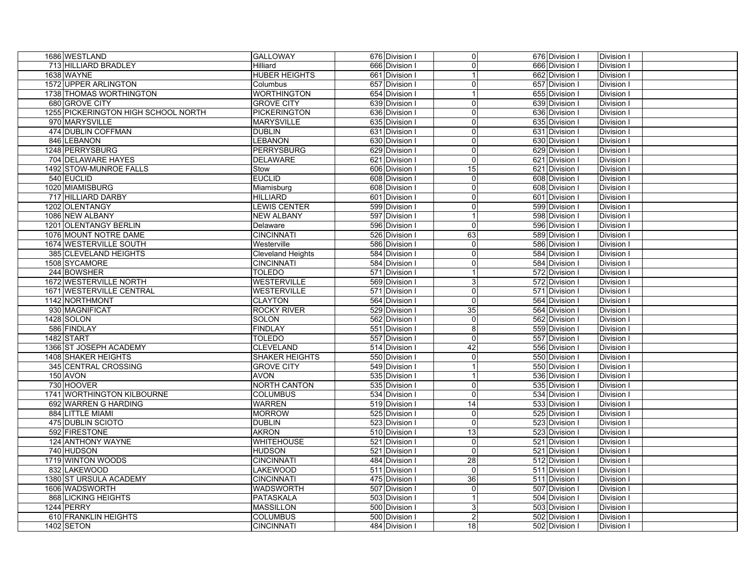| 1686 WESTLAND                       | <b>GALLOWAY</b>          | 676 Division I | $\overline{0}$  | 676 Division I | Division I        |
|-------------------------------------|--------------------------|----------------|-----------------|----------------|-------------------|
| 713 HILLIARD BRADLEY                | Hilliard                 | 666 Division I | $\Omega$        | 666 Division I | Division I        |
| 1638 WAYNE                          | <b>HUBER HEIGHTS</b>     | 661 Division I | $\mathbf 1$     | 662 Division I | Division I        |
| 1572 UPPER ARLINGTON                | Columbus                 | 657 Division I | 0               | 657 Division I | Division I        |
| 1738 THOMAS WORTHINGTON             | <b>WORTHINGTON</b>       | 654 Division I | $\overline{1}$  | 655 Division I | Division I        |
| 680 GROVE CITY                      | <b>GROVE CITY</b>        | 639 Division I | $\overline{0}$  | 639 Division I | Division I        |
| 1255 PICKERINGTON HIGH SCHOOL NORTH | <b>PICKERINGTON</b>      | 636 Division I | $\Omega$        | 636 Division I | Division I        |
| 970 MARYSVILLE                      | <b>MARYSVILLE</b>        | 635 Division I | $\Omega$        | 635 Division I | Division I        |
| 474 DUBLIN COFFMAN                  | <b>DUBLIN</b>            | 631 Division I | $\Omega$        | 631 Division I | Division I        |
| 846 LEBANON                         | <b>LEBANON</b>           | 630 Division I | $\Omega$        | 630 Division I | Division I        |
| 1248 PERRYSBURG                     | <b>PERRYSBURG</b>        | 629 Division I | 0               | 629 Division I | Division I        |
| 704 DELAWARE HAYES                  | <b>DELAWARE</b>          | 621 Division I | $\Omega$        | 621 Division I | Division I        |
| 1492 STOW-MUNROE FALLS              | Stow                     | 606 Division I | 15              | 621 Division I | Division I        |
| 540 EUCLID                          | <b>EUCLID</b>            | 608 Division I | $\mathbf 0$     | 608 Division I | Division I        |
| 1020 MIAMISBURG                     | Miamisburg               | 608 Division I | 0               | 608 Division I | Division I        |
| 717 HILLIARD DARBY                  | <b>HILLIARD</b>          | 601 Division I | $\Omega$        | 601 Division I | Division I        |
| 1202 OLENTANGY                      | <b>LEWIS CENTER</b>      | 599 Division I | 0               | 599 Division I | Division I        |
| 1086 NEW ALBANY                     | <b>NEW ALBANY</b>        | 597 Division I | $\mathbf{1}$    | 598 Division I | Division I        |
| 1201 OLENTANGY BERLIN               | Delaware                 | 596 Division I | $\mathbf 0$     | 596 Division I | Division I        |
| 1076 MOUNT NOTRE DAME               | <b>CINCINNATI</b>        | 526 Division I | 63              | 589 Division I | Division I        |
| 1674 WESTERVILLE SOUTH              | Westerville              | 586 Division I | $\mathbf 0$     | 586 Division I | Division I        |
| 385 CLEVELAND HEIGHTS               | <b>Cleveland Heights</b> | 584 Division I | $\overline{0}$  | 584 Division I | Division I        |
| 1508 SYCAMORE                       | <b>CINCINNATI</b>        | 584 Division I | 0               | 584 Division I | Division I        |
| 244 BOWSHER                         | <b>TOLEDO</b>            | 571 Division I |                 | 572 Division I | <b>Division I</b> |
| 1672 WESTERVILLE NORTH              | <b>WESTERVILLE</b>       | 569 Division I | 3               | 572 Division I | Division I        |
| 1671 WESTERVILLE CENTRAL            | <b>WESTERVILLE</b>       | 571 Division I | $\Omega$        | 571 Division I | Division I        |
| 1142 NORTHMONT                      | <b>CLAYTON</b>           | 564 Division I | $\Omega$        | 564 Division I | Division I        |
| 930 MAGNIFICAT                      | <b>ROCKY RIVER</b>       | 529 Division I | 35              | 564 Division I | Division I        |
| 1428 SOLON                          | SOLON                    | 562 Division I | 0               | 562 Division I | Division I        |
| 586 FINDLAY                         | <b>FINDLAY</b>           | 551 Division I | $\overline{8}$  | 559 Division I | Division I        |
| 1482 START                          | <b>TOLEDO</b>            | 557 Division I | $\Omega$        | 557 Division I | Division I        |
| 1366 ST JOSEPH ACADEMY              | <b>CLEVELAND</b>         | 514 Division I | 42              | 556 Division I | Division I        |
| 1408 SHAKER HEIGHTS                 | <b>SHAKER HEIGHTS</b>    | 550 Division I | 0               | 550 Division I | Division I        |
| 345 CENTRAL CROSSING                | <b>GROVE CITY</b>        | 549 Division I | $\mathbf 1$     | 550 Division I | Division I        |
| 150 AVON                            | <b>AVON</b>              | 535 Division I | $\mathbf{1}$    | 536 Division I | Division I        |
| 730 HOOVER                          | <b>NORTH CANTON</b>      | 535 Division I | 0               | 535 Division I | Division I        |
| 1741 WORTHINGTON KILBOURNE          | <b>COLUMBUS</b>          | 534 Division I | $\Omega$        | 534 Division I | Division I        |
| 692 WARREN G HARDING                | <b>WARREN</b>            | 519 Division I | 14              | 533 Division I | Division I        |
| 884 LITTLE MIAMI                    | <b>MORROW</b>            | 525 Division I | $\Omega$        | 525 Division I | Division I        |
| 475 DUBLIN SCIOTO                   | <b>DUBLIN</b>            | 523 Division I | $\Omega$        | 523 Division I | Division I        |
| 592 FIRESTONE                       | <b>AKRON</b>             | 510 Division I | 13              | 523 Division I | Division I        |
| 124 ANTHONY WAYNE                   | <b>WHITEHOUSE</b>        | 521 Division I | $\Omega$        | 521 Division I | Division I        |
| 740 HUDSON                          | <b>HUDSON</b>            | 521 Division I | $\Omega$        | 521 Division I | Division I        |
| 1719 WINTON WOODS                   | <b>CINCINNATI</b>        | 484 Division I | $\overline{28}$ | 512 Division I | Division I        |
| 832 LAKEWOOD                        | <b>LAKEWOOD</b>          | 511 Division I | $\mathbf 0$     | 511 Division I | Division I        |
| 1380 ST URSULA ACADEMY              | <b>CINCINNATI</b>        | 475 Division I | 36              | 511 Division I | Division I        |
| 1606 WADSWORTH                      | <b>WADSWORTH</b>         | 507 Division I | $\overline{0}$  | 507 Division I | Division I        |
| <b>868 LICKING HEIGHTS</b>          | <b>PATASKALA</b>         | 503 Division I | $\mathbf{1}$    | 504 Division I | Division I        |
| 1244 PERRY                          | <b>MASSILLON</b>         | 500 Division I | 3               | 503 Division I | Division I        |
| 610 FRANKLIN HEIGHTS                | <b>COLUMBUS</b>          | 500 Division I | $\overline{2}$  | 502 Division I | Division I        |
| 1402 SETON                          | <b>CINCINNATI</b>        | 484 Division I | 18              | 502 Division I | Division I        |
|                                     |                          |                |                 |                |                   |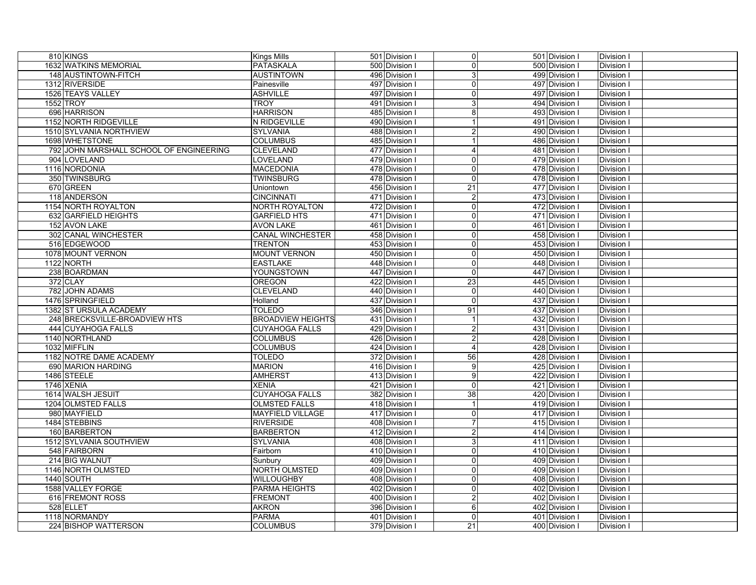| 810 KINGS                     |                                         | <b>Kings Mills</b>       | 501 Division I | $\overline{0}$          | 501 Division I | Division I      |  |
|-------------------------------|-----------------------------------------|--------------------------|----------------|-------------------------|----------------|-----------------|--|
| 1632 WATKINS MEMORIAL         |                                         | <b>PATASKALA</b>         | 500 Division I | $\Omega$                | 500 Division I | Division I      |  |
| 148 AUSTINTOWN-FITCH          |                                         | <b>AUSTINTOWN</b>        | 496 Division I | 3                       | 499 Division I | Division I      |  |
| 1312 RIVERSIDE                |                                         | Painesville              | 497 Division I | 0                       | 497 Division I | Division I      |  |
| 1526 TEAYS VALLEY             |                                         | <b>ASHVILLE</b>          | 497 Division I | $\Omega$                | 497 Division I | Division I      |  |
| 1552 TROY                     |                                         | <b>TROY</b>              | 491 Division I | 3                       | 494 Division I | Division I      |  |
| 696 HARRISON                  |                                         | <b>HARRISON</b>          | 485 Division I | 8                       | 493 Division I | Division I      |  |
| 1152 NORTH RIDGEVILLE         |                                         | N RIDGEVILLE             | 490 Division I |                         | 491 Division I | Division I      |  |
| 1510 SYLVANIA NORTHVIEW       |                                         | <b>SYLVANIA</b>          | 488 Division I |                         | 490 Division I | Division I      |  |
| 1698 WHETSTONE                |                                         | <b>COLUMBUS</b>          | 485 Division I |                         | 486 Division I | Division I      |  |
|                               | 792 JOHN MARSHALL SCHOOL OF ENGINEERING | <b>CLEVELAND</b>         | 477 Division I | 4                       | 481 Division I | Division I      |  |
| 904 LOVELAND                  |                                         | <b>LOVELAND</b>          | 479 Division I | $\Omega$                | 479 Division I | Division I      |  |
| 1116 NORDONIA                 |                                         | <b>MACEDONIA</b>         | 478 Division I | 0                       | 478 Division I | Division I      |  |
| 350 TWINSBURG                 |                                         | <b>TWINSBURG</b>         | 478 Division I | $\overline{0}$          | 478 Division I | Division I      |  |
| 670 GREEN                     |                                         | Uniontown                | 456 Division I | 21                      | 477 Division I | Division I      |  |
| 118 ANDERSON                  |                                         | <b>CINCINNATI</b>        | 471 Division I | $\overline{2}$          | 473 Division I | Division I      |  |
| 1154 NORTH ROYALTON           |                                         | NORTH ROYALTON           | 472 Division I | 0                       | 472 Division I | Division I      |  |
| 632 GARFIELD HEIGHTS          |                                         | <b>GARFIELD HTS</b>      | 471 Division I | $\Omega$                | 471 Division I | Division I      |  |
| 152 AVON LAKE                 |                                         | <b>AVON LAKE</b>         | 461 Division I | $\mathbf 0$             | 461 Division I | Division I      |  |
| 302 CANAL WINCHESTER          |                                         | <b>CANAL WINCHESTER</b>  | 458 Division I | $\mathbf 0$             | 458 Division I | Division I      |  |
| 516 EDGEWOOD                  |                                         | <b>TRENTON</b>           | 453 Division I | $\mathbf 0$             | 453 Division I | Division I      |  |
| 1078 MOUNT VERNON             |                                         | <b>MOUNT VERNON</b>      | 450 Division I | 0                       | 450 Division I | Division I      |  |
| 1122 NORTH                    |                                         | <b>EASTLAKE</b>          | 448 Division I | 0                       | 448 Division I | Division I      |  |
| 238 BOARDMAN                  |                                         | YOUNGSTOWN               | 447 Division I | 0                       | 447 Division I | Division I      |  |
| 372 CLAY                      |                                         | <b>OREGON</b>            | 422 Division I | 23                      | 445 Division I | Division I      |  |
| 782 JOHN ADAMS                |                                         | <b>CLEVELAND</b>         | 440 Division I | $\Omega$                | 440 Division I | Division I      |  |
| 1476 SPRINGFIELD              |                                         | Holland                  | 437 Division I | $\Omega$                | 437 Division I | Division I      |  |
| 1382 ST URSULA ACADEMY        |                                         | <b>TOLEDO</b>            | 346 Division I | 91                      | 437 Division I | Division I      |  |
| 248 BRECKSVILLE-BROADVIEW HTS |                                         | <b>BROADVIEW HEIGHTS</b> | 431 Division I | -1                      | 432 Division I | <b>Division</b> |  |
| 444 CUYAHOGA FALLS            |                                         | <b>CUYAHOGA FALLS</b>    | 429 Division I | $\overline{2}$          | 431 Division I | <b>Division</b> |  |
| 1140 NORTHLAND                |                                         | <b>COLUMBUS</b>          | 426 Division I | $\overline{2}$          | 428 Division I | Division I      |  |
| 1032 MIFFLIN                  |                                         | <b>COLUMBUS</b>          | 424 Division I | $\overline{4}$          | 428 Division I | Division I      |  |
| 1182 NOTRE DAME ACADEMY       |                                         | <b>TOLEDO</b>            | 372 Division I | 56                      | 428 Division I | Division I      |  |
| 690 MARION HARDING            |                                         | <b>MARION</b>            | 416 Division I | 9                       | 425 Division I | Division I      |  |
| 1486 STEELE                   |                                         | <b>AMHERST</b>           | 413 Division I | 9                       | 422 Division I | Division I      |  |
| <b>1746 XENIA</b>             |                                         | <b>XENIA</b>             | 421 Division I | 0                       | 421 Division I | Division I      |  |
| 1614 WALSH JESUIT             |                                         | <b>CUYAHOGA FALLS</b>    | 382 Division I | 38                      | 420 Division I | Division I      |  |
| 1204 OLMSTED FALLS            |                                         | <b>OLMSTED FALLS</b>     | 418 Division I | $\overline{\mathbf{1}}$ | 419 Division I | Division I      |  |
| 980 MAYFIELD                  |                                         | <b>MAYFIELD VILLAGE</b>  | 417 Division I | $\Omega$                | 417 Division I | Division I      |  |
| 1484 STEBBINS                 |                                         | <b>RIVERSIDE</b>         | 408 Division I |                         | 415 Division I | Division I      |  |
| 160 BARBERTON                 |                                         | <b>BARBERTON</b>         | 412 Division I | $\overline{2}$          | 414 Division I | Division I      |  |
| 1512 SYLVANIA SOUTHVIEW       |                                         | SYLVANIA                 | 408 Division I | 3                       | 411 Division I | Division I      |  |
| 548 FAIRBORN                  |                                         | Fairborn                 | 410 Division I | $\overline{0}$          | 410 Division I | Division I      |  |
| 214 BIG WALNUT                |                                         | Sunbury                  | 409 Division I | $\Omega$                | 409 Division I | Division I      |  |
| 1146 NORTH OLMSTED            |                                         | NORTH OLMSTED            | 409 Division I | 0                       | 409 Division I | <b>Division</b> |  |
| <b>1440 SOUTH</b>             |                                         | <b>WILLOUGHBY</b>        | 408 Division I | 0                       | 408 Division I | Division I      |  |
| 1588 VALLEY FORGE             |                                         | PARMA HEIGHTS            | 402 Division I | $\overline{0}$          | 402 Division I | Division I      |  |
| 616 FREMONT ROSS              |                                         | <b>FREMONT</b>           | 400 Division I | $\overline{2}$          | 402 Division I | Division I      |  |
| 528 ELLET                     |                                         | <b>AKRON</b>             | 396 Division I | 6                       | 402 Division I | Division I      |  |
| 1118 NORMANDY                 |                                         | <b>PARMA</b>             | 401 Division I | $\Omega$                | 401 Division I | Division I      |  |
| 224 BISHOP WATTERSON          |                                         | <b>COLUMBUS</b>          | 379 Division I | 21                      | 400 Division I | Division I      |  |